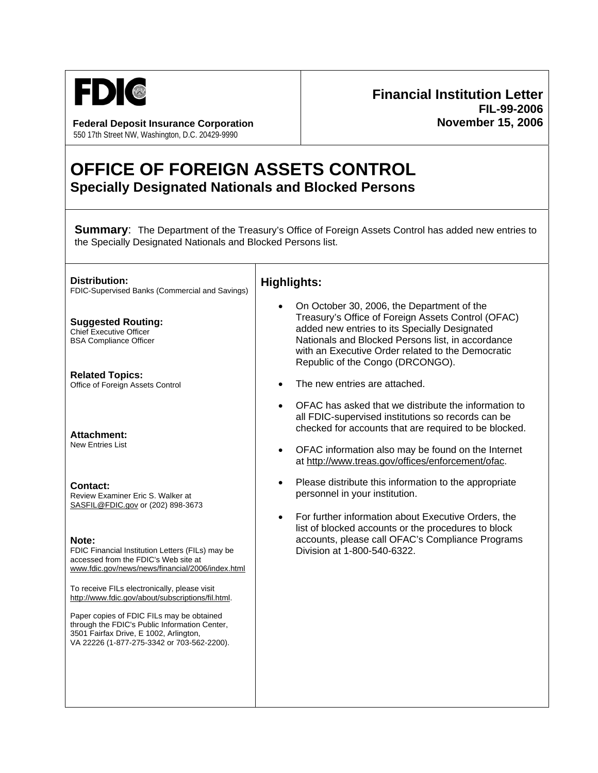

**Federal Deposit Insurance Corporation November 15, 2006** 550 17th Street NW, Washington, D.C. 20429-9990

## **Financial Institution Letter FIL-99-2006**

## **OFFICE OF FOREIGN ASSETS CONTROL Specially Designated Nationals and Blocked Persons**

┑

**Summary:** The Department of the Treasury's Office of Foreign Assets Control has added new entries to the Specially Designated Nationals and Blocked Persons list.

| Distribution:<br>FDIC-Supervised Banks (Commercial and Savings)                                                                                                                                                                                                                                                                                                                                                                                                                                                                                                                                | <b>Highlights:</b>                                                                                                                                                                                                                                                                                                                                                                                                                                                                                                                                                                                                             |
|------------------------------------------------------------------------------------------------------------------------------------------------------------------------------------------------------------------------------------------------------------------------------------------------------------------------------------------------------------------------------------------------------------------------------------------------------------------------------------------------------------------------------------------------------------------------------------------------|--------------------------------------------------------------------------------------------------------------------------------------------------------------------------------------------------------------------------------------------------------------------------------------------------------------------------------------------------------------------------------------------------------------------------------------------------------------------------------------------------------------------------------------------------------------------------------------------------------------------------------|
| <b>Suggested Routing:</b><br><b>Chief Executive Officer</b><br><b>BSA Compliance Officer</b>                                                                                                                                                                                                                                                                                                                                                                                                                                                                                                   | On October 30, 2006, the Department of the<br>Treasury's Office of Foreign Assets Control (OFAC)<br>added new entries to its Specially Designated<br>Nationals and Blocked Persons list, in accordance<br>with an Executive Order related to the Democratic<br>Republic of the Congo (DRCONGO).                                                                                                                                                                                                                                                                                                                                |
| <b>Related Topics:</b><br>Office of Foreign Assets Control                                                                                                                                                                                                                                                                                                                                                                                                                                                                                                                                     | The new entries are attached.                                                                                                                                                                                                                                                                                                                                                                                                                                                                                                                                                                                                  |
| <b>Attachment:</b><br><b>New Entries List</b><br><b>Contact:</b><br>Review Examiner Eric S. Walker at<br>SASFIL@FDIC.gov or (202) 898-3673<br>Note:<br>FDIC Financial Institution Letters (FILs) may be<br>accessed from the FDIC's Web site at<br>www.fdic.gov/news/news/financial/2006/index.html<br>To receive FILs electronically, please visit<br>http://www.fdic.gov/about/subscriptions/fil.html.<br>Paper copies of FDIC FILs may be obtained<br>through the FDIC's Public Information Center,<br>3501 Fairfax Drive, E 1002, Arlington,<br>VA 22226 (1-877-275-3342 or 703-562-2200). | OFAC has asked that we distribute the information to<br>$\bullet$<br>all FDIC-supervised institutions so records can be<br>checked for accounts that are required to be blocked.<br>OFAC information also may be found on the Internet<br>$\bullet$<br>at http://www.treas.gov/offices/enforcement/ofac.<br>Please distribute this information to the appropriate<br>$\bullet$<br>personnel in your institution.<br>For further information about Executive Orders, the<br>$\bullet$<br>list of blocked accounts or the procedures to block<br>accounts, please call OFAC's Compliance Programs<br>Division at 1-800-540-6322. |